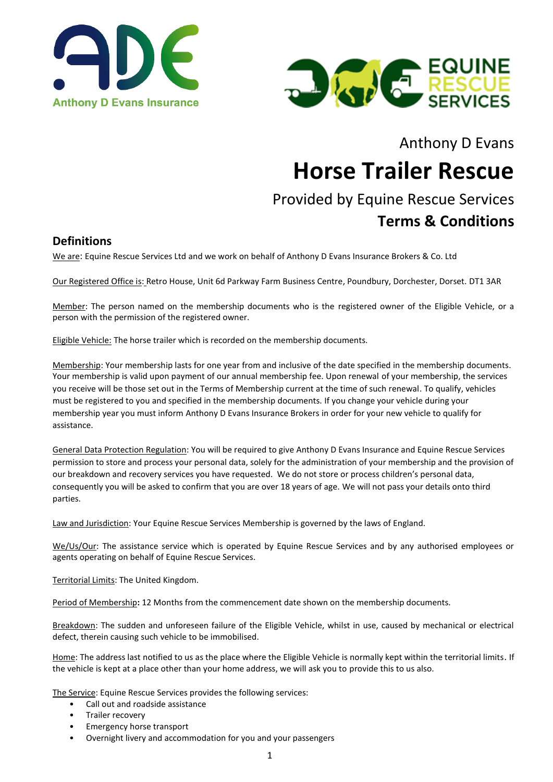



# Anthony D Evans **Horse Trailer Rescue**

# Provided by Equine Rescue Services **Terms & Conditions**

#### **Definitions**

We are: Equine Rescue Services Ltd and we work on behalf of Anthony D Evans Insurance Brokers & Co. Ltd

Our Registered Office is: Retro House, Unit 6d Parkway Farm Business Centre, Poundbury, Dorchester, Dorset. DT1 3AR

Member: The person named on the membership documents who is the registered owner of the Eligible Vehicle, or a person with the permission of the registered owner.

Eligible Vehicle: The horse trailer which is recorded on the membership documents.

Membership: Your membership lasts for one year from and inclusive of the date specified in the membership documents. Your membership is valid upon payment of our annual membership fee. Upon renewal of your membership, the services you receive will be those set out in the Terms of Membership current at the time of such renewal. To qualify, vehicles must be registered to you and specified in the membership documents. If you change your vehicle during your membership year you must inform Anthony D Evans Insurance Brokers in order for your new vehicle to qualify for assistance.

General Data Protection Regulation: You will be required to give Anthony D Evans Insurance and Equine Rescue Services permission to store and process your personal data, solely for the administration of your membership and the provision of our breakdown and recovery services you have requested. We do not store or process children's personal data, consequently you will be asked to confirm that you are over 18 years of age. We will not pass your details onto third parties.

Law and Jurisdiction: Your Equine Rescue Services Membership is governed by the laws of England.

We/Us/Our: The assistance service which is operated by Equine Rescue Services and by any authorised employees or agents operating on behalf of Equine Rescue Services.

Territorial Limits: The United Kingdom.

Period of Membership**:** 12 Months from the commencement date shown on the membership documents.

Breakdown: The sudden and unforeseen failure of the Eligible Vehicle, whilst in use, caused by mechanical or electrical defect, therein causing such vehicle to be immobilised.

Home: The address last notified to us as the place where the Eligible Vehicle is normally kept within the territorial limits. If the vehicle is kept at a place other than your home address, we will ask you to provide this to us also.

The Service: Equine Rescue Services provides the following services:

- Call out and roadside assistance
- Trailer recovery
- Emergency horse transport
- Overnight livery and accommodation for you and your passengers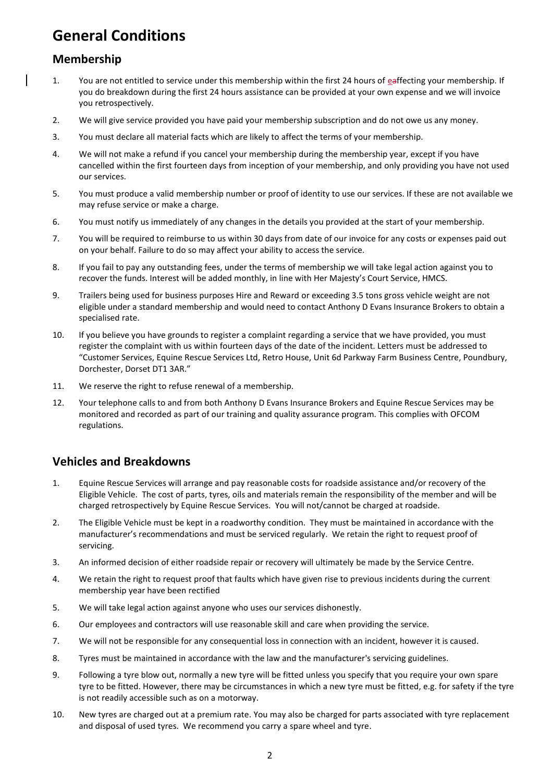## **General Conditions**

### **Membership**

- 1. You are not entitled to service under this membership within the first 24 hours of eaffecting your membership. If you do breakdown during the first 24 hours assistance can be provided at your own expense and we will invoice you retrospectively.
- 2. We will give service provided you have paid your membership subscription and do not owe us any money.
- 3. You must declare all material facts which are likely to affect the terms of your membership.
- 4. We will not make a refund if you cancel your membership during the membership year, except if you have cancelled within the first fourteen days from inception of your membership, and only providing you have not used our services.
- 5. You must produce a valid membership number or proof of identity to use our services. If these are not available we may refuse service or make a charge.
- 6. You must notify us immediately of any changes in the details you provided at the start of your membership.
- 7. You will be required to reimburse to us within 30 days from date of our invoice for any costs or expenses paid out on your behalf. Failure to do so may affect your ability to access the service.
- 8. If you fail to pay any outstanding fees, under the terms of membership we will take legal action against you to recover the funds. Interest will be added monthly, in line with Her Majesty's Court Service, HMCS.
- 9. Trailers being used for business purposes Hire and Reward or exceeding 3.5 tons gross vehicle weight are not eligible under a standard membership and would need to contact Anthony D Evans Insurance Brokers to obtain a specialised rate.
- 10. If you believe you have grounds to register a complaint regarding a service that we have provided, you must register the complaint with us within fourteen days of the date of the incident. Letters must be addressed to "Customer Services, Equine Rescue Services Ltd, Retro House, Unit 6d Parkway Farm Business Centre, Poundbury, Dorchester, Dorset DT1 3AR."
- 11. We reserve the right to refuse renewal of a membership.
- 12. Your telephone calls to and from both Anthony D Evans Insurance Brokers and Equine Rescue Services may be monitored and recorded as part of our training and quality assurance program. This complies with OFCOM regulations.

### **Vehicles and Breakdowns**

- 1. Equine Rescue Services will arrange and pay reasonable costs for roadside assistance and/or recovery of the Eligible Vehicle. The cost of parts, tyres, oils and materials remain the responsibility of the member and will be charged retrospectively by Equine Rescue Services. You will not/cannot be charged at roadside.
- 2. The Eligible Vehicle must be kept in a roadworthy condition. They must be maintained in accordance with the manufacturer's recommendations and must be serviced regularly. We retain the right to request proof of servicing.
- 3. An informed decision of either roadside repair or recovery will ultimately be made by the Service Centre.
- 4. We retain the right to request proof that faults which have given rise to previous incidents during the current membership year have been rectified
- 5. We will take legal action against anyone who uses our services dishonestly.
- 6. Our employees and contractors will use reasonable skill and care when providing the service.
- 7. We will not be responsible for any consequential loss in connection with an incident, however it is caused.
- 8. Tyres must be maintained in accordance with the law and the manufacturer's servicing guidelines.
- 9. Following a tyre blow out, normally a new tyre will be fitted unless you specify that you require your own spare tyre to be fitted. However, there may be circumstances in which a new tyre must be fitted, e.g. for safety if the tyre is not readily accessible such as on a motorway.
- 10. New tyres are charged out at a premium rate. You may also be charged for parts associated with tyre replacement and disposal of used tyres. We recommend you carry a spare wheel and tyre.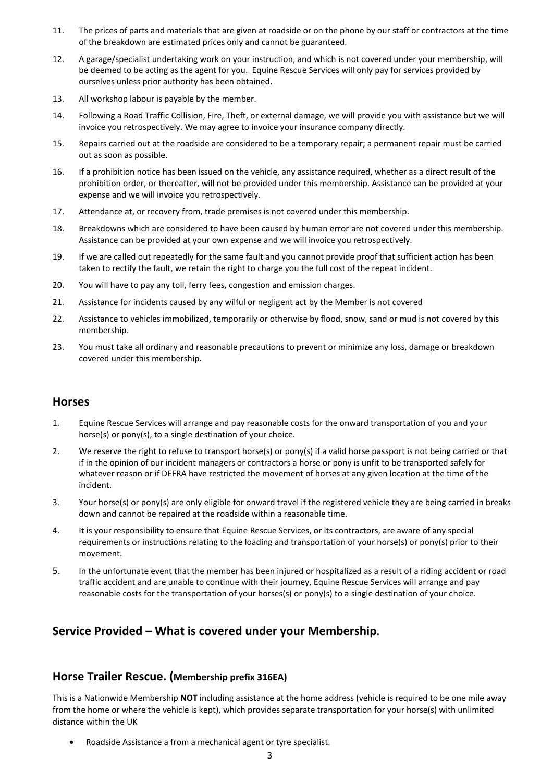- 11. The prices of parts and materials that are given at roadside or on the phone by our staff or contractors at the time of the breakdown are estimated prices only and cannot be guaranteed.
- 12. A garage/specialist undertaking work on your instruction, and which is not covered under your membership, will be deemed to be acting as the agent for you. Equine Rescue Services will only pay for services provided by ourselves unless prior authority has been obtained.
- 13. All workshop labour is payable by the member.
- 14. Following a Road Traffic Collision, Fire, Theft, or external damage, we will provide you with assistance but we will invoice you retrospectively. We may agree to invoice your insurance company directly.
- 15. Repairs carried out at the roadside are considered to be a temporary repair; a permanent repair must be carried out as soon as possible.
- 16. If a prohibition notice has been issued on the vehicle, any assistance required, whether as a direct result of the prohibition order, or thereafter, will not be provided under this membership. Assistance can be provided at your expense and we will invoice you retrospectively.
- 17. Attendance at, or recovery from, trade premises is not covered under this membership.
- 18. Breakdowns which are considered to have been caused by human error are not covered under this membership. Assistance can be provided at your own expense and we will invoice you retrospectively.
- 19. If we are called out repeatedly for the same fault and you cannot provide proof that sufficient action has been taken to rectify the fault, we retain the right to charge you the full cost of the repeat incident.
- 20. You will have to pay any toll, ferry fees, congestion and emission charges.
- 21. Assistance for incidents caused by any wilful or negligent act by the Member is not covered
- 22. Assistance to vehicles immobilized, temporarily or otherwise by flood, snow, sand or mud is not covered by this membership.
- 23. You must take all ordinary and reasonable precautions to prevent or minimize any loss, damage or breakdown covered under this membership.

#### **Horses**

- 1. Equine Rescue Services will arrange and pay reasonable costs for the onward transportation of you and your horse(s) or pony(s), to a single destination of your choice.
- 2. We reserve the right to refuse to transport horse(s) or pony(s) if a valid horse passport is not being carried or that if in the opinion of our incident managers or contractors a horse or pony is unfit to be transported safely for whatever reason or if DEFRA have restricted the movement of horses at any given location at the time of the incident.
- 3. Your horse(s) or pony(s) are only eligible for onward travel if the registered vehicle they are being carried in breaks down and cannot be repaired at the roadside within a reasonable time.
- 4. It is your responsibility to ensure that Equine Rescue Services, or its contractors, are aware of any special requirements or instructions relating to the loading and transportation of your horse(s) or pony(s) prior to their movement.
- 5. In the unfortunate event that the member has been injured or hospitalized as a result of a riding accident or road traffic accident and are unable to continue with their journey, Equine Rescue Services will arrange and pay reasonable costs for the transportation of your horses(s) or pony(s) to a single destination of your choice.

#### **Service Provided – What is covered under your Membership.**

#### **Horse Trailer Rescue. (Membership prefix 316EA)**

This is a Nationwide Membership **NOT** including assistance at the home address (vehicle is required to be one mile away from the home or where the vehicle is kept), which provides separate transportation for your horse(s) with unlimited distance within the UK

• Roadside Assistance a from a mechanical agent or tyre specialist.